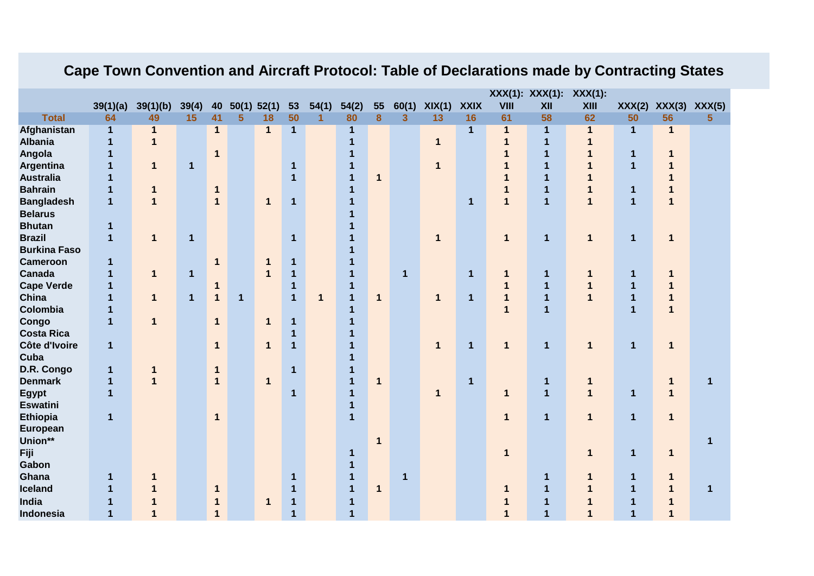| 39(1)(b)<br>54(2)<br>60(1)<br>XIX(1)<br><b>XXIX</b><br>VIII<br>XII<br>XXX(2)<br>39(1)(a)<br>39(4)<br>40<br>50(1) 52(1)<br>53<br>54(1)<br>55<br><b>XIII</b>                                                                   | XXX(3) XXX(5)<br>56<br>5 |  |
|------------------------------------------------------------------------------------------------------------------------------------------------------------------------------------------------------------------------------|--------------------------|--|
|                                                                                                                                                                                                                              |                          |  |
| 50<br>80<br>8<br>$\overline{3}$<br>13<br>50<br><b>Total</b><br>64<br>49<br>15<br>41<br>5<br>18<br>16<br>61<br>58<br>62<br>1                                                                                                  |                          |  |
| Afghanistan<br>$\mathbf{1}$<br>$\mathbf{1}$<br>$\mathbf{1}$<br>$\mathbf{1}$<br>$\mathbf{1}$<br>$\mathbf{1}$<br>1<br>1<br>$\mathbf{1}$<br>$\mathbf 1$<br>$\mathbf 1$                                                          | $\mathbf{1}$             |  |
| <b>Albania</b><br>$\mathbf{1}$<br>$\mathbf{1}$<br>1<br>$\mathbf 1$<br>$\mathbf{1}$<br>$\overline{\mathbf{1}}$<br>1                                                                                                           |                          |  |
| Angola<br>$\mathbf{1}$<br>$\mathbf{1}$<br>$\overline{\mathbf{1}}$<br>$\mathbf{1}$<br>1                                                                                                                                       | 1                        |  |
| Argentina<br>$\overline{\mathbf{1}}$<br>$\overline{\mathbf{1}}$<br>$\mathbf{1}$<br>1<br>$\mathbf 1$<br>$\overline{1}$<br>1<br>$\mathbf{1}$                                                                                   | 1                        |  |
| <b>Australia</b><br>$\mathbf{1}$<br>$\mathbf 1$<br>$\mathbf 1$<br>1<br>1                                                                                                                                                     | 1                        |  |
| <b>Bahrain</b><br>$\mathbf{1}$<br>1<br>$\mathbf 1$<br>$\overline{\mathbf{1}}$<br>$\mathbf{1}$<br>$\mathbf 1$<br>$\mathbf 1$                                                                                                  | 1                        |  |
| <b>Bangladesh</b><br>$\overline{1}$<br>$\overline{1}$<br>$\mathbf{1}$<br>$\mathbf{1}$<br>$\mathbf{1}$<br>$\mathbf{1}$<br>$\mathbf{1}$<br>$\mathbf{1}$<br>1<br>$\mathbf{1}$<br>$\mathbf 1$                                    | $\mathbf{1}$             |  |
| <b>Belarus</b>                                                                                                                                                                                                               |                          |  |
| <b>Bhutan</b><br>$\mathbf 1$                                                                                                                                                                                                 |                          |  |
| <b>Brazil</b><br>$\mathbf{1}$<br>$\mathbf{1}$<br>1<br>$\overline{1}$<br>$\mathbf{1}$<br>1<br>$\mathbf{1}$<br>$\mathbf 1$<br>$\mathbf{1}$<br>1                                                                                | $\mathbf{1}$             |  |
| <b>Burkina Faso</b>                                                                                                                                                                                                          |                          |  |
| <b>Cameroon</b><br>$\mathbf 1$<br>1<br>1<br>$\mathbf{1}$<br>1                                                                                                                                                                |                          |  |
| Canada<br>1<br>1<br>$\mathbf{1}$<br>1<br>$\mathbf{1}$<br>$\mathbf 1$<br>$\mathbf 1$<br>1<br>1<br>1<br>1<br>1                                                                                                                 | 1                        |  |
| <b>Cape Verde</b><br>$\mathbf{1}$<br>$\mathbf{1}$<br>1<br>$\mathbf{1}$<br>1<br>1<br>1                                                                                                                                        | 1                        |  |
| China<br>$\mathbf{1}$<br>$\mathbf{1}$<br>$\mathbf{1}$<br>$\mathbf{1}$<br>$\mathbf{1}$<br>$\mathbf 1$<br>$\mathbf 1$<br>$\mathbf{1}$<br>$\mathbf{1}$<br>$\mathbf{1}$<br>$\mathbf{1}$<br>$\mathbf 1$<br>1<br>$\mathbf{1}$<br>1 | $\overline{\mathbf{1}}$  |  |
| Colombia<br>$\overline{1}$<br>$\overline{1}$<br>$\mathbf 1$<br>1<br>1                                                                                                                                                        | $\overline{\mathbf{1}}$  |  |
| Congo<br>$\mathbf{1}$<br>$\mathbf{1}$<br>$\mathbf{1}$<br>$\mathbf 1$<br>$\mathbf{1}$<br>1                                                                                                                                    |                          |  |
| <b>Costa Rica</b><br>1<br>1                                                                                                                                                                                                  |                          |  |
| Côte d'Ivoire<br>$\mathbf{1}$<br>$\mathbf{1}$<br>$\mathbf{1}$<br>$\overline{1}$<br>$\mathbf{1}$<br>$\mathbf{1}$<br>$\mathbf{1}$<br>$\mathbf{1}$<br>$\mathbf{1}$<br>1<br>$\mathbf{1}$                                         | $\mathbf 1$              |  |
| Cuba<br>1                                                                                                                                                                                                                    |                          |  |
| D.R. Congo<br>$\mathbf 1$<br>$\mathbf{1}$<br>$\mathbf 1$<br>$\mathbf 1$<br>$\mathbf{1}$                                                                                                                                      |                          |  |
| <b>Denmark</b><br>$\mathbf{1}$<br>$\mathbf{1}$<br>$\mathbf{1}$<br>$\mathbf{1}$<br>$\mathbf{1}$<br>1<br>$\mathbf{1}$<br>1<br>1                                                                                                | $\mathbf{1}$<br>1        |  |
| $\overline{1}$<br>$\overline{1}$<br><b>Egypt</b><br>$\mathbf{1}$<br>$\mathbf 1$<br>1<br>$\mathbf{1}$<br>$\mathbf{1}$<br>1                                                                                                    | $\mathbf{1}$             |  |
| <b>Eswatini</b><br>$\mathbf 1$                                                                                                                                                                                               |                          |  |
| <b>Ethiopia</b><br>$\mathbf{1}$<br>$\mathbf{1}$<br>$\mathbf{1}$<br>$\mathbf{1}$<br>1<br>1<br>1                                                                                                                               | $\mathbf{1}$             |  |
| <b>European</b>                                                                                                                                                                                                              |                          |  |
| Union**<br>1                                                                                                                                                                                                                 | 1                        |  |
| Fiji<br>$\mathbf{1}$<br>1<br>1<br>1                                                                                                                                                                                          | $\mathbf 1$              |  |
| Gabon<br>1                                                                                                                                                                                                                   |                          |  |
| Ghana<br>1<br>1<br>1<br>1<br>1<br>1<br>1<br>1                                                                                                                                                                                | $\mathbf 1$              |  |
| <b>Iceland</b><br>$\mathbf 1$<br>1<br>$\mathbf{1}$<br>1<br>1<br>1<br>1<br>1<br>1<br>$\mathbf{1}$                                                                                                                             | $\mathbf 1$<br>1         |  |
| India<br>$\mathbf 1$<br>1<br>1<br>1<br>1<br>1                                                                                                                                                                                |                          |  |
| $\overline{\mathbf{1}}$<br>$\overline{1}$<br><b>Indonesia</b><br>$\mathbf 1$<br>1<br>1<br>1<br>1<br>1                                                                                                                        |                          |  |

## **Cape Town Convention and Aircraft Protocol: Table of Declarations made by Contracting States**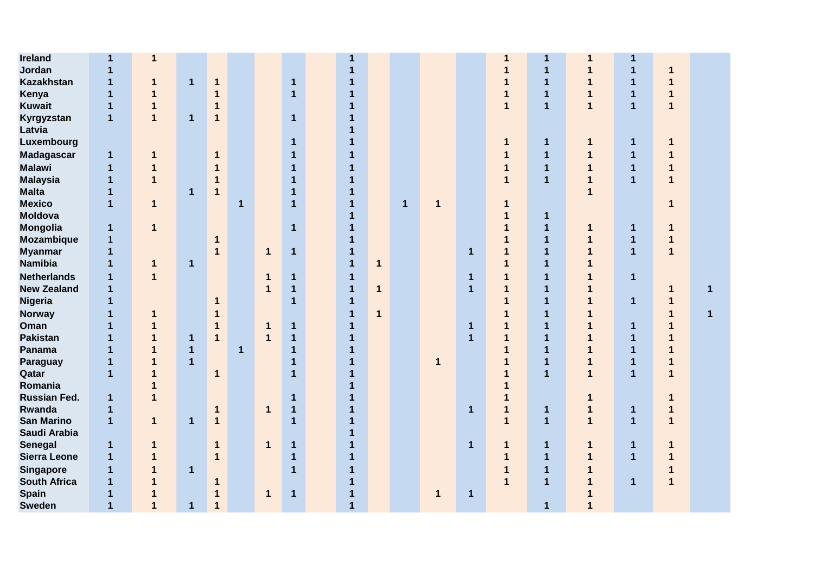| <b>Ireland</b>      | $\mathbf{1}$   | 1            |                |                |              |              |                         | 1              |              |              |             |              | 1            | 1              |              | 1            |              |              |
|---------------------|----------------|--------------|----------------|----------------|--------------|--------------|-------------------------|----------------|--------------|--------------|-------------|--------------|--------------|----------------|--------------|--------------|--------------|--------------|
| Jordan              | $\mathbf{1}$   |              |                |                |              |              |                         | 1              |              |              |             |              | 1            | $\mathbf{1}$   | 1            | $\mathbf{1}$ | 1            |              |
| <b>Kazakhstan</b>   | $\mathbf{1}$   | 1            | $\mathbf{1}$   | $\mathbf{1}$   |              |              | $\mathbf{1}$            |                |              |              |             |              | 1            | 1              | 1            | $\mathbf{1}$ | 1            |              |
| Kenya               | $\mathbf{1}$   | 1            |                | $\mathbf 1$    |              |              | $\overline{\mathbf{1}}$ | 1              |              |              |             |              | 1            | 1              | 1            | $\mathbf{1}$ | 1            |              |
| <b>Kuwait</b>       | $\mathbf{1}$   | 1            |                | $\mathbf{1}$   |              |              |                         | 1              |              |              |             |              | $\mathbf{1}$ | $\overline{1}$ | $\mathbf{1}$ | $\mathbf{1}$ | $\mathbf{1}$ |              |
| Kyrgyzstan          | $\overline{1}$ | $\mathbf{1}$ | $\mathbf{1}$   | $\mathbf{1}$   |              |              | $\mathbf{1}$            | 1              |              |              |             |              |              |                |              |              |              |              |
| Latvia              |                |              |                |                |              |              |                         | 1              |              |              |             |              |              |                |              |              |              |              |
| Luxembourg          |                |              |                |                |              |              | 1                       | 1              |              |              |             |              | $\mathbf 1$  | $\mathbf{1}$   | 1            | $\mathbf{1}$ | 1            |              |
| <b>Madagascar</b>   | $\mathbf{1}$   | 1            |                | $\mathbf 1$    |              |              | 1                       | 1              |              |              |             |              | 1            | $\mathbf{1}$   | 1            | 1            | 1            |              |
| <b>Malawi</b>       | $\mathbf{1}$   | 1            |                | $\mathbf 1$    |              |              | 1                       | 1              |              |              |             |              | $\mathbf 1$  | 1              | 1            | $\mathbf{1}$ | 1            |              |
| <b>Malaysia</b>     | $\mathbf{1}$   | 1            |                | $\mathbf{1}$   |              |              | 1                       | 1              |              |              |             |              | $\mathbf{1}$ | $\overline{1}$ | 1            | 1            | 1            |              |
| <b>Malta</b>        | $\mathbf{1}$   |              | $\mathbf{1}$   | $\mathbf{1}$   |              |              | $\overline{1}$          | 1              |              |              |             |              |              |                | 1            |              |              |              |
| <b>Mexico</b>       | $\overline{1}$ | 1            |                |                | $\mathbf 1$  |              | $\overline{\mathbf{1}}$ | $\mathbf{1}$   |              | $\mathbf{1}$ | 1           |              | $\mathbf{1}$ |                |              |              | 1            |              |
| <b>Moldova</b>      |                |              |                |                |              |              |                         | $\mathbf{1}$   |              |              |             |              | 1            | $\mathbf{1}$   |              |              |              |              |
| Mongolia            | $\mathbf{1}$   | 1            |                |                |              |              | $\mathbf{1}$            | $\mathbf{1}$   |              |              |             |              | $\mathbf 1$  | $\mathbf{1}$   | 1            | $\mathbf{1}$ | 1            |              |
| <b>Mozambique</b>   | $\mathbf{1}$   |              |                | $\mathbf 1$    |              |              |                         | 1              |              |              |             |              | 1            | $\mathbf 1$    | 1            | $\mathbf{1}$ | 1            |              |
| <b>Myanmar</b>      | 1              |              |                | $\mathbf{1}$   |              | $\mathbf{1}$ | $\overline{\mathbf{1}}$ | $\mathbf{1}$   |              |              |             | $\mathbf{1}$ | $\mathbf{1}$ | 1              | 1            | $\mathbf{1}$ | $\mathbf{1}$ |              |
| <b>Namibia</b>      | $\mathbf{1}$   | $\mathbf{1}$ | $\mathbf{1}$   |                |              |              |                         | $\mathbf{1}$   | $\mathbf 1$  |              |             |              | $\mathbf 1$  | 1              | 1            |              |              |              |
| <b>Netherlands</b>  | $\mathbf{1}$   | $\mathbf{1}$ |                |                |              | 1            | $\mathbf{1}$            | $\mathbf{1}$   |              |              |             | $\mathbf{1}$ | $\mathbf{1}$ | $\mathbf{1}$   | 1            | $\mathbf{1}$ |              |              |
| <b>New Zealand</b>  | $\mathbf{1}$   |              |                |                |              | 1            | $\mathbf{1}$            | $\mathbf{1}$   | $\mathbf{1}$ |              |             | $\mathbf{1}$ | $\mathbf{1}$ | $\mathbf{1}$   | 1            |              | 1            | $\mathbf{1}$ |
| Nigeria             | $\mathbf 1$    |              |                | $\mathbf 1$    |              |              | $\overline{1}$          | $\mathbf{1}$   |              |              |             |              | $\mathbf{1}$ | $\mathbf{1}$   | $\mathbf 1$  | $\mathbf{1}$ | 1            |              |
| <b>Norway</b>       | $\mathbf{1}$   | 1            |                | 1              |              |              |                         | $\mathbf{1}$   | $\mathbf{1}$ |              |             |              | 1            | $\mathbf 1$    | $\mathbf{1}$ |              | 1            | $\mathbf{1}$ |
| Oman                | $\mathbf{1}$   | 1            |                | $\mathbf 1$    |              | 1            | $\mathbf 1$             | 1              |              |              |             | $\mathbf{1}$ | $\mathbf 1$  | $\mathbf 1$    | 1            | $\mathbf 1$  | 1            |              |
| <b>Pakistan</b>     | $\mathbf 1$    | 1            | $\mathbf{1}$   | $\mathbf 1$    |              | $\mathbf{1}$ | $\mathbf 1$             | 1              |              |              |             | $\mathbf{1}$ | $\mathbf 1$  | $\mathbf 1$    | 1            | 1            | 1            |              |
| Panama              | $\mathbf{1}$   | 1            | $\mathbf{1}$   |                | $\mathbf{1}$ |              | $\mathbf{1}$            | 1              |              |              |             |              | 1            | $\overline{1}$ | 1            | 1            | 1            |              |
| Paraguay            | $\mathbf{1}$   | 1            | $\overline{1}$ |                |              |              | $\overline{1}$          | 1              |              |              | 1           |              | $\mathbf 1$  | $\overline{1}$ | 1            | $\mathbf{1}$ | 1            |              |
| Qatar               | $\overline{1}$ | 1            |                | $\mathbf{1}$   |              |              | $\overline{1}$          | 1              |              |              |             |              | 1            | $\overline{1}$ | $\mathbf{1}$ | $\mathbf{1}$ | 1            |              |
| Romania             |                | 1            |                |                |              |              |                         | 1              |              |              |             |              | 1            |                |              |              |              |              |
| <b>Russian Fed.</b> | $\mathbf{1}$   | 1            |                |                |              |              | $\mathbf 1$             | 1              |              |              |             |              | 1            |                | 1            |              |              |              |
| Rwanda              | $\mathbf{1}$   |              |                | $\mathbf{1}$   |              | $\mathbf{1}$ | $\mathbf{1}$            | 1              |              |              |             | $\mathbf{1}$ | $\mathbf{1}$ | $\mathbf{1}$   | 1            | 1            | 1            |              |
| <b>San Marino</b>   | $\overline{1}$ | $\mathbf{1}$ | $\mathbf{1}$   | $\mathbf{1}$   |              |              | $\overline{1}$          | $\mathbf{1}$   |              |              |             |              | $\mathbf{1}$ | $\overline{1}$ | $\mathbf{1}$ | $\mathbf{1}$ | $\mathbf{1}$ |              |
| Saudi Arabia        |                |              |                |                |              |              |                         | 1              |              |              |             |              |              |                |              |              |              |              |
| Senegal             | $\mathbf{1}$   | 1            |                | $\mathbf 1$    |              | $\mathbf{1}$ | $\mathbf 1$             | 1              |              |              |             | $\mathbf{1}$ | $\mathbf 1$  | $\mathbf{1}$   | 1            | 1            | 1            |              |
| <b>Sierra Leone</b> | $\mathbf{1}$   | 1            |                | $\mathbf{1}$   |              |              | $\mathbf{1}$            | 1              |              |              |             |              | 1            | 1              | 1            | $\mathbf{1}$ | 1            |              |
| <b>Singapore</b>    | 1              | 1            | $\mathbf{1}$   |                |              |              | $\mathbf 1$             | 1              |              |              |             |              | $\mathbf 1$  | 1              | 1            |              | 1            |              |
| <b>South Africa</b> | $\mathbf{1}$   | 1            |                | $\mathbf 1$    |              |              |                         | 1              |              |              |             |              | $\mathbf 1$  | $\overline{1}$ | 1            | $\mathbf{1}$ | $\mathbf{1}$ |              |
| <b>Spain</b>        | $\mathbf{1}$   | 1            |                | $\mathbf{1}$   |              | $\mathbf{1}$ | $\mathbf{1}$            | 1              |              |              | $\mathbf 1$ | $\mathbf{1}$ |              |                |              |              |              |              |
| <b>Sweden</b>       | $\overline{1}$ | $\mathbf{1}$ | $\mathbf{1}$   | $\overline{1}$ |              |              |                         | $\overline{1}$ |              |              |             |              |              | $\mathbf{1}$   | 1            |              |              |              |